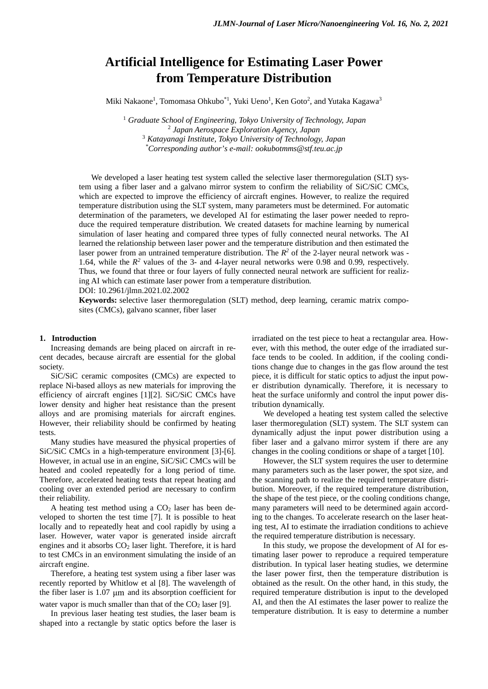# **Artificial Intelligence for Estimating Laser Power from Temperature Distribution**

Miki Nakaone<sup>1</sup>, Tomomasa Ohkubo $^{\ast}{}^{1}$ , Yuki Ueno $^1$ , Ken Goto $^2$ , and Yutaka Kagawa $^3$ 

 *Graduate School of Engineering, Tokyo University of Technology, Japan Japan Aerospace Exploration Agency, Japan Katayanagi Institute, Tokyo University of Technology, Japan \* Corresponding author's e-mail: ookubotmms@stf.teu.ac.jp*

We developed a laser heating test system called the selective laser thermoregulation (SLT) system using a fiber laser and a galvano mirror system to confirm the reliability of SiC/SiC CMCs, which are expected to improve the efficiency of aircraft engines. However, to realize the required temperature distribution using the SLT system, many parameters must be determined. For automatic determination of the parameters, we developed AI for estimating the laser power needed to reproduce the required temperature distribution. We created datasets for machine learning by numerical simulation of laser heating and compared three types of fully connected neural networks. The AI learned the relationship between laser power and the temperature distribution and then estimated the laser power from an untrained temperature distribution. The  $R^2$  of the 2-layer neural network was -1.64, while the *R2* values of the 3- and 4-layer neural networks were 0.98 and 0.99, respectively. Thus, we found that three or four layers of fully connected neural network are sufficient for realizing AI which can estimate laser power from a temperature distribution.

DOI: 10.2961/jlmn.2021.02.2002

**Keywords:** selective laser thermoregulation (SLT) method, deep learning, ceramic matrix composites (CMCs), galvano scanner, fiber laser

# **1. Introduction**

Increasing demands are being placed on aircraft in recent decades, because aircraft are essential for the global society.

SiC/SiC ceramic composites (CMCs) are expected to replace Ni-based alloys as new materials for improving the efficiency of aircraft engines [\[1\]](#page-3-0)[\[2\].](#page-3-1) SiC/SiC CMCs have lower density and higher heat resistance than the present alloys and are promising materials for aircraft engines. However, their reliability should be confirmed by heating tests.

Many studies have measured the physical properties of SiC/SiC CMCs in a high-temperature environment [\[3\]](#page-3-2)[-\[6\].](#page-3-3) However, in actual use in an engine, SiC/SiC CMCs will be heated and cooled repeatedly for a long period of time. Therefore, accelerated heating tests that repeat heating and cooling over an extended period are necessary to confirm their reliability.

A heating test method using a  $CO<sub>2</sub>$  laser has been developed to shorten the test time [\[7\].](#page-3-4) It is possible to heat locally and to repeatedly heat and cool rapidly by using a laser. However, water vapor is generated inside aircraft engines and it absorbs  $CO<sub>2</sub>$  laser light. Therefore, it is hard to test CMCs in an environment simulating the inside of an aircraft engine.

Therefore, a heating test system using a fiber laser was recently reported by Whitlow et al [\[8\].](#page-3-5) The wavelength of the fiber laser is 1.07 μm and its absorption coefficient for water vapor is much smaller than that of the  $CO<sub>2</sub>$  laser [\[9\].](#page-3-6)

In previous laser heating test studies, the laser beam is shaped into a rectangle by static optics before the laser is irradiated on the test piece to heat a rectangular area. However, with this method, the outer edge of the irradiated surface tends to be cooled. In addition, if the cooling conditions change due to changes in the gas flow around the test piece, it is difficult for static optics to adjust the input power distribution dynamically. Therefore, it is necessary to heat the surface uniformly and control the input power distribution dynamically.

We developed a heating test system called the selective laser thermoregulation (SLT) system. The SLT system can dynamically adjust the input power distribution using a fiber laser and a galvano mirror system if there are any changes in the cooling conditions or shape of a target [\[10\].](#page-3-7)

However, the SLT system requires the user to determine many parameters such as the laser power, the spot size, and the scanning path to realize the required temperature distribution. Moreover, if the required temperature distribution, the shape of the test piece, or the cooling conditions change, many parameters will need to be determined again according to the changes. To accelerate research on the laser heating test, AI to estimate the irradiation conditions to achieve the required temperature distribution is necessary.

In this study, we propose the development of AI for estimating laser power to reproduce a required temperature distribution. In typical laser heating studies, we determine the laser power first, then the temperature distribution is obtained as the result. On the other hand, in this study, the required temperature distribution is input to the developed AI, and then the AI estimates the laser power to realize the temperature distribution. It is easy to determine a number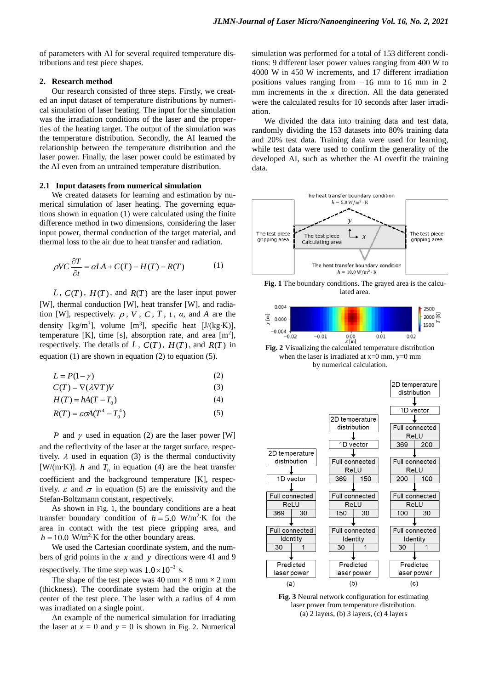of parameters with AI for several required temperature distributions and test piece shapes.

## **2. Research method**

Our research consisted of three steps. Firstly, we created an input dataset of temperature distributions by numerical simulation of laser heating. The input for the simulation was the irradiation conditions of the laser and the properties of the heating target. The output of the simulation was the temperature distribution. Secondly, the AI learned the relationship between the temperature distribution and the laser power. Finally, the laser power could be estimated by the AI even from an untrained temperature distribution.

# **2.1 Input datasets from numerical simulation**

We created datasets for learning and estimation by numerical simulation of laser heating. The governing equations shown in equation (1) were calculated using the finite difference method in two dimensions, considering the laser input power, thermal conduction of the target material, and thermal loss to the air due to heat transfer and radiation.

$$
\rho V C \frac{\partial T}{\partial t} = \alpha L A + C(T) - H(T) - R(T) \tag{1}
$$

*L* , *C*(*T*), *H*(*T*), and *R*(*T*) are the laser input power [W], thermal conduction [W], heat transfer [W], and radiation [W], respectively.  $\rho$ , *V*, *C*, *T*, *t*,  $\alpha$ , and *A* are the density [kg/m<sup>3</sup>], volume [m<sup>3</sup>], specific heat [J/(kg⋅K)], temperature [K], time [s], absorption rate, and area  $[m^2]$ , respectively. The details of  $L$ ,  $C(T)$ ,  $H(T)$ , and  $R(T)$  in equation (1) are shown in equation (2) to equation (5).

$$
L = P(1 - \gamma) \tag{2}
$$

$$
C(T) = \nabla(\lambda \nabla T)V\tag{3}
$$

$$
H(T) = hA(T - T_0)
$$
\n<sup>(4)</sup>

$$
R(T) = \varepsilon \sigma A (T^4 - T_0^4) \tag{5}
$$

*P* and  $\gamma$  used in equation (2) are the laser power [W] and the reflectivity of the laser at the target surface, respectively.  $\lambda$  used in equation (3) is the thermal conductivity [W/(m⋅K)]. *h* and  $T_0$  in equation (4) are the heat transfer coefficient and the background temperature [K], respectively.  $\varepsilon$  and  $\sigma$  in equation (5) are the emissivity and the Stefan-Boltzmann constant, respectively.

As shown in Fig. 1, the boundary conditions are a heat transfer boundary condition of  $h = 5.0$  W/m<sup>2</sup>⋅K for the area in contact with the test piece gripping area, and  $h = 10.0$  W/m<sup>2</sup>⋅K for the other boundary areas.

We used the Cartesian coordinate system, and the numbers of grid points in the *x* and *y* directions were 41 and 9 respectively. The time step was  $1.0 \times 10^{-3}$  s.

The shape of the test piece was 40 mm  $\times$  8 mm  $\times$  2 mm (thickness). The coordinate system had the origin at the center of the test piece. The laser with a radius of 4 mm was irradiated on a single point.

An example of the numerical simulation for irradiating the laser at  $x = 0$  and  $y = 0$  is shown in Fig. 2. Numerical

simulation was performed for a total of 153 different conditions: 9 different laser power values ranging from 400 W to 4000 W in 450 W increments, and 17 different irradiation positions values ranging from −16 mm to 16 mm in 2 mm increments in the  $x$  direction. All the data generated were the calculated results for 10 seconds after laser irradiation.

We divided the data into training data and test data, randomly dividing the 153 datasets into 80% training data and 20% test data. Training data were used for learning, while test data were used to confirm the generality of the developed AI, such as whether the AI overfit the training data.



**Fig. 1** The boundary conditions. The grayed area is the calculated area.



**Fig. 2** Visualizing the calculated temperature distribution when the laser is irradiated at  $x=0$  mm,  $y=0$  mm by numerical calculation.



**Fig. 3** Neural network configuration for estimating laser power from temperature distribution. (a) 2 layers, (b) 3 layers, (c) 4 layers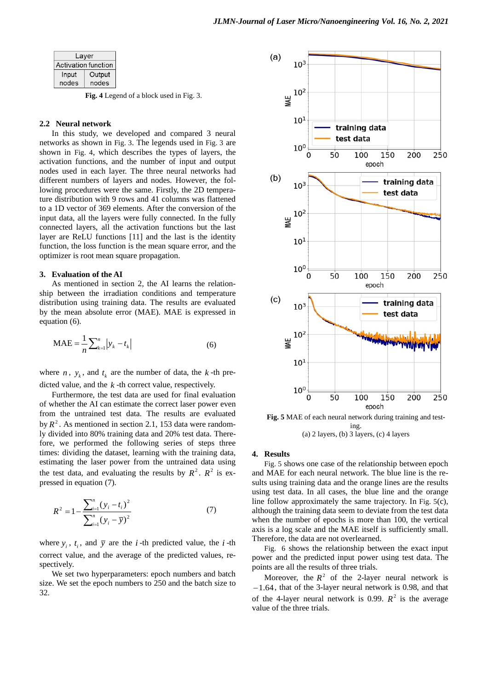|  | Layer<br>Activation function |        |
|--|------------------------------|--------|
|  |                              |        |
|  | Input                        | Output |
|  | nodes                        | nodes  |

**Fig. 4** Legend of a block used in Fig. 3.

# **2.2 Neural network**

In this study, we developed and compared 3 neural networks as shown in Fig. 3. The legends used in Fig. 3 are shown in Fig. 4, which describes the types of layers, the activation functions, and the number of input and output nodes used in each layer. The three neural networks had different numbers of layers and nodes. However, the following procedures were the same. Firstly, the 2D temperature distribution with 9 rows and 41 columns was flattened to a 1D vector of 369 elements. After the conversion of the input data, all the layers were fully connected. In the fully connected layers, all the activation functions but the last layer are ReLU functions [11] and the last is the identity function, the loss function is the mean square error, and the optimizer is root mean square propagation.

## **3. Evaluation of the AI**

As mentioned in section 2, the AI learns the relationship between the irradiation conditions and temperature distribution using training data. The results are evaluated by the mean absolute error (MAE). MAE is expressed in equation (6).

$$
MAE = \frac{1}{n} \sum_{k=1}^{n} |y_k - t_k|
$$
 (6)

where *n*,  $y_k$ , and  $t_k$  are the number of data, the *k*-th predicted value, and the *k* -th correct value, respectively.

Furthermore, the test data are used for final evaluation of whether the AI can estimate the correct laser power even from the untrained test data. The results are evaluated by  $R^2$ . As mentioned in section 2.1, 153 data were randomly divided into 80% training data and 20% test data. Therefore, we performed the following series of steps three times: dividing the dataset, learning with the training data, estimating the laser power from the untrained data using the test data, and evaluating the results by  $R^2$ .  $R^2$  is expressed in equation (7).

$$
R^{2} = 1 - \frac{\sum_{i=1}^{n} (y_{i} - t_{i})^{2}}{\sum_{i=1}^{n} (y_{i} - \overline{y})^{2}}
$$
(7)

where  $y_i$ ,  $t_i$ , and  $\bar{y}$  are the *i*-th predicted value, the *i*-th correct value, and the average of the predicted values, respectively.

We set two hyperparameters: epoch numbers and batch size. We set the epoch numbers to 250 and the batch size to 32.





#### **4. Results**

Fig. 5 shows one case of the relationship between epoch and MAE for each neural network. The blue line is the results using training data and the orange lines are the results using test data. In all cases, the blue line and the orange line follow approximately the same trajectory. In Fig. 5(c), although the training data seem to deviate from the test data when the number of epochs is more than 100, the vertical axis is a log scale and the MAE itself is sufficiently small. Therefore, the data are not overlearned.

Fig. 6 shows the relationship between the exact input power and the predicted input power using test data. The points are all the results of three trials.

Moreover, the  $R^2$  of the 2-layer neural network is −1.64, that of the 3-layer neural network is 0.98, and that of the 4-layer neural network is 0.99.  $R^2$  is the average value of the three trials.